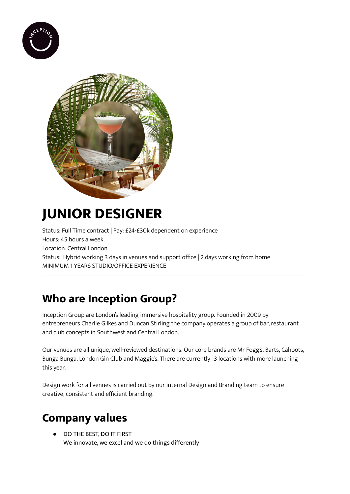



# **JUNIOR DESIGNER**

Status: Full Time contract | Pay: £24-£30k dependent on experience Hours: 45 hours a week Location: Central London Status: Hybrid working 3 days in venues and support office | 2 days working from home MINIMUM 1 YEARS STUDIO/OFFICE EXPERIENCE

### **Who are Inception Group?**

Inception Group are London's leading immersive hospitality group. Founded in 2009 by entrepreneurs Charlie Gilkes and Duncan Stirling the company operates a group of bar, restaurant and club concepts in Southwest and Central London.

Our venues are all unique, well-reviewed destinations. Our core brands are Mr Fogg's, Barts, Cahoots, Bunga Bunga, London Gin Club and Maggie's. There are currently 13 locations with more launching this year.

Design work for all venues is carried out by our internal Design and Branding team to ensure creative, consistent and efficient branding.

# **Company values**

DO THE BEST, DO IT FIRST We innovate, we excel and we do things differently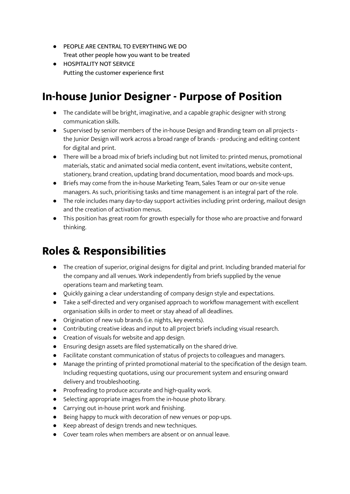- PEOPLE ARE CENTRAL TO EVERYTHING WE DO Treat other people how you want to be treated
- **HOSPITALITY NOT SERVICE** Putting the customer experience first

#### **In-house Junior Designer - Purpose of Position**

- The candidate will be bright, imaginative, and a capable graphic designer with strong communication skills.
- Supervised by senior members of the in-house Design and Branding team on all projects the Junior Design will work across a broad range of brands - producing and editing content for digital and print.
- There will be a broad mix of briefs including but not limited to: printed menus, promotional materials, static and animated social media content, event invitations, website content, stationery, brand creation, updating brand documentation, mood boards and mock-ups.
- Briefs may come from the in-house Marketing Team, Sales Team or our on-site venue managers. As such, prioritising tasks and time management is an integral part of the role.
- The role includes many day-to-day support activities including print ordering, mailout design and the creation of activation menus.
- This position has great room for growth especially for those who are proactive and forward thinking.

### **Roles & Responsibilities**

- The creation of superior, original designs for digital and print. Including branded material for the company and all venues. Work independently from briefs supplied by the venue operations team and marketing team.
- Quickly gaining a clear understanding of company design style and expectations.
- Take a self-directed and very organised approach to workflow management with excellent organisation skills in order to meet or stay ahead of all deadlines.
- Origination of new sub brands (i.e. nights, key events).
- Contributing creative ideas and input to all project briefs including visual research.
- Creation of visuals for website and app design.
- Ensuring design assets are filed systematically on the shared drive.
- Facilitate constant communication of status of projects to colleagues and managers.
- Manage the printing of printed promotional material to the specification of the design team. Including requesting quotations, using our procurement system and ensuring onward delivery and troubleshooting.
- Proofreading to produce accurate and high-quality work.
- Selecting appropriate images from the in-house photo library.
- Carrying out in-house print work and finishing.
- Being happy to muck with decoration of new venues or pop-ups.
- Keep abreast of design trends and new techniques.
- Cover team roles when members are absent or on annual leave.